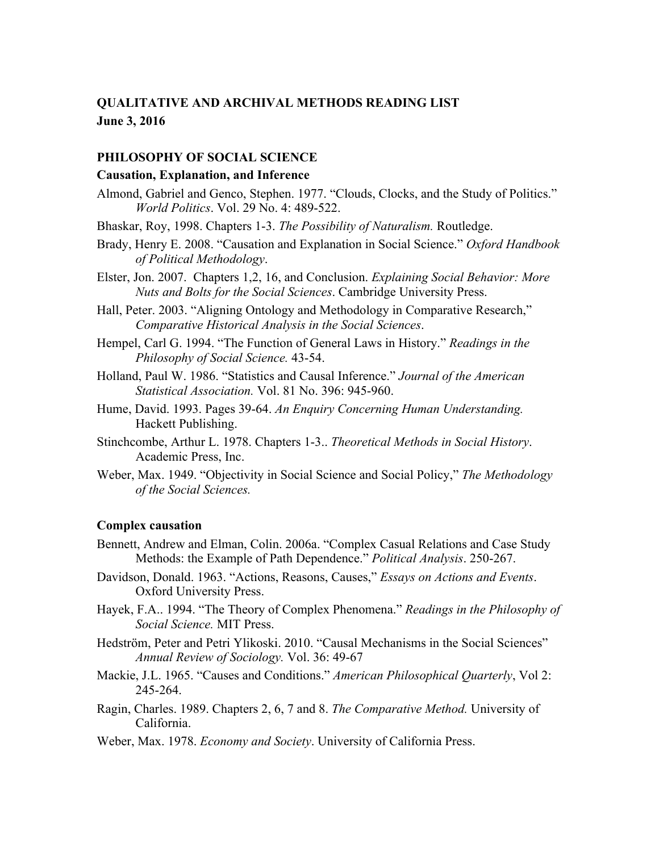# **QUALITATIVE AND ARCHIVAL METHODS READING LIST June 3, 2016**

#### **PHILOSOPHY OF SOCIAL SCIENCE**

#### **Causation, Explanation, and Inference**

- Almond, Gabriel and Genco, Stephen. 1977. "Clouds, Clocks, and the Study of Politics." *World Politics*. Vol. 29 No. 4: 489-522.
- Bhaskar, Roy, 1998. Chapters 1-3. *The Possibility of Naturalism.* Routledge.
- Brady, Henry E. 2008. "Causation and Explanation in Social Science." *Oxford Handbook*  of Political Methodology. *of Political Methodology*. Elster, Jon. 2007. Chapters 1,2, 16, and Conclusion. *Explaining Social Behavior: More*
- *Nuts and Bolts for the Social Sciences*. Cambridge University Press.
- Hall, Peter. 2003. "Aligning Ontology and Methodology in Comparative Research," *Comparative Historical Analysis in the Social Sciences*.
- Hempel, Carl G. 1994. "The Function of General Laws in History." *Readings in the Philosophy of Social Science.* 43-54.
- Holland, Paul W. 1986. "Statistics and Causal Inference." *Journal of the American Statistical Association.* Vol. 81 No. 396: 945-960.
- Hume, David. 1993. Pages 39-64. *An Enquiry Concerning Human Understanding.*  Hackett Publishing.
- Stinchcombe, Arthur L. 1978. Chapters 1-3.. *Theoretical Methods in Social History*. Academic Press, Inc.
- Weber, Max. 1949. "Objectivity in Social Science and Social Policy," *The Methodology of the Social Sciences.*

# **Complex causation**

- Bennett, Andrew and Elman, Colin. 2006a. "Complex Casual Relations and Case Study Methods: the Example of Path Dependence." *Political Analysis*. 250-267.
- Davidson, Donald. 1963. "Actions, Reasons, Causes," *Essays on Actions and Events*. Oxford University Press.
- *Social Science.* MIT Press. Hayek, F.A.. 1994. "The Theory of Complex Phenomena." *Readings in the Philosophy of*
- Hedström, Peter and Petri Ylikoski. 2010. "Causal Mechanisms in the Social Sciences" *Annual Review of Sociology.* Vol. 36: 49-67
- Mackie, J.L. 1965. "Causes and Conditions." *American Philosophical Quarterly*, Vol 2: 245-264.
- Ragin, Charles. 1989. Chapters 2, 6, 7 and 8. *The Comparative Method.* University of California.
- Weber, Max. 1978. *Economy and Society*. University of California Press.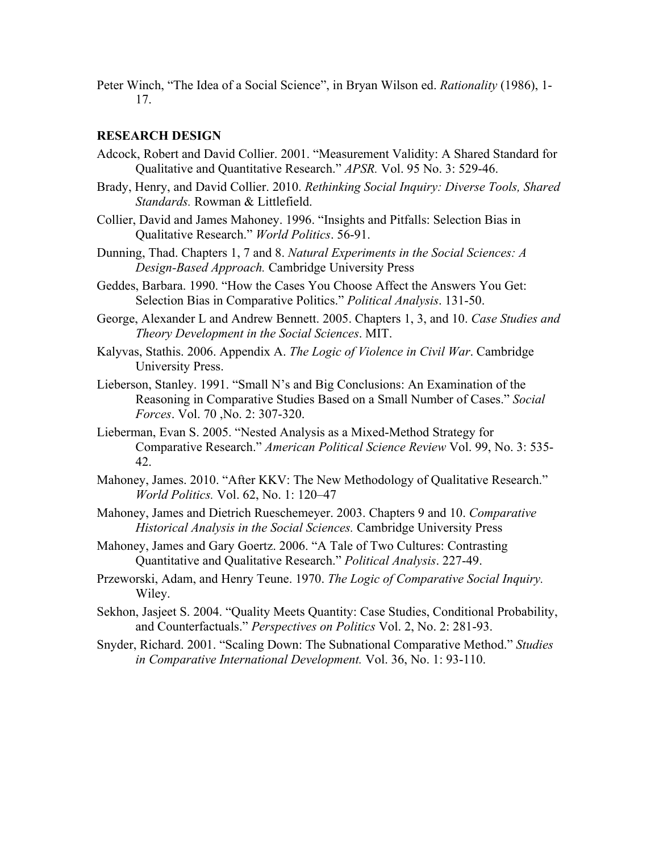Peter Winch, "The Idea of a Social Science", in Bryan Wilson ed. *Rationality* (1986), 1- 17.

# **RESEARCH DESIGN**

- Qualitative and Quantitative Research." *APSR.* Vol. 95 No. 3: 529-46. Adcock, Robert and David Collier. 2001. "Measurement Validity: A Shared Standard for
- Brady, Henry, and David Collier. 2010. *Rethinking Social Inquiry: Diverse Tools, Shared Standards.* Rowman & Littlefield.
- Collier, David and James Mahoney. 1996. "Insights and Pitfalls: Selection Bias in Qualitative Research." *World Politics*. 56-91.
- Dunning, Thad. Chapters 1, 7 and 8. *Natural Experiments in the Social Sciences: A Design-Based Approach.* Cambridge University Press
- Geddes, Barbara. 1990. "How the Cases You Choose Affect the Answers You Get: Selection Bias in Comparative Politics." *Political Analysis*. 131-50.
- *Theory Development in the Social Sciences*. MIT. George, Alexander L and Andrew Bennett. 2005. Chapters 1, 3, and 10. *Case Studies and*
- Kalyvas, Stathis. 2006. Appendix A. *The Logic of Violence in Civil War*. Cambridge University Press.
- *Forces*. Vol. 70 ,No. 2: 307-320. Lieberson, Stanley. 1991. "Small N's and Big Conclusions: An Examination of the Reasoning in Comparative Studies Based on a Small Number of Cases." *Social*
- Lieberman, Evan S. 2005. "Nested Analysis as a Mixed-Method Strategy for Comparative Research." *American Political Science Review* Vol. 99, No. 3: 535- 42.
- *World Politics.* Vol. 62, No. 1: 120–47 Mahoney, James. 2010. "After KKV: The New Methodology of Qualitative Research."
- Mahoney, James and Dietrich Rueschemeyer. 2003. Chapters 9 and 10. *Comparative Historical Analysis in the Social Sciences.* Cambridge University Press
- Mahoney, James and Gary Goertz. 2006. "A Tale of Two Cultures: Contrasting Quantitative and Qualitative Research." *Political Analysis*. 227-49.
- Przeworski, Adam, and Henry Teune. 1970. *The Logic of Comparative Social Inquiry.*  Wiley.
- Sekhon, Jasjeet S. 2004. "Quality Meets Quantity: Case Studies, Conditional Probability, and Counterfactuals." *Perspectives on Politics* Vol. 2, No. 2: 281-93.
- *in Comparative International Development.* Vol. 36, No. 1: 93-110. Snyder, Richard. 2001. "Scaling Down: The Subnational Comparative Method." *Studies*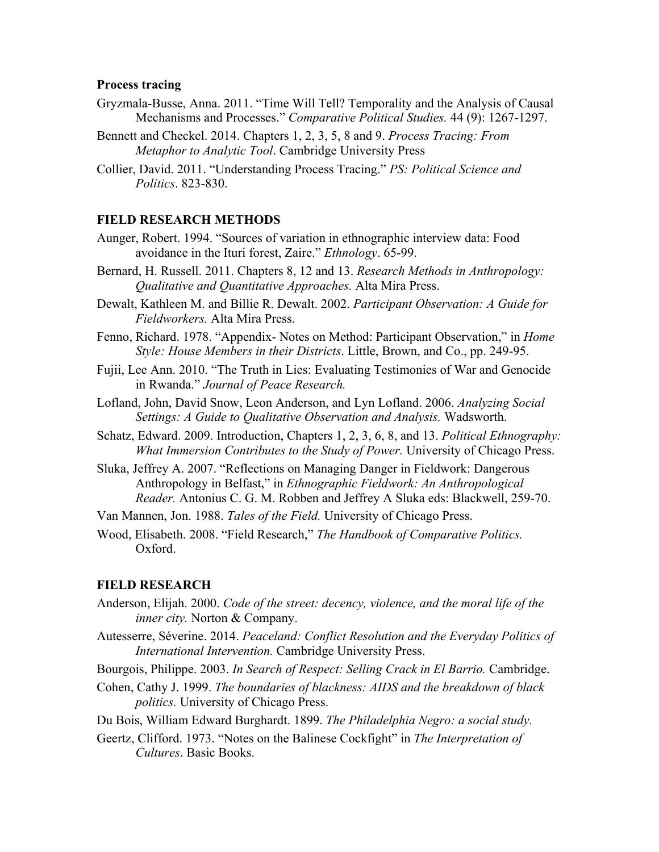# **Process tracing**

- Mechanisms and Processes." *Comparative Political Studies.* 44 (9): 1267-1297. Gryzmala-Busse, Anna. 2011. "Time Will Tell? Temporality and the Analysis of Causal
- Bennett and Checkel. 2014. Chapters 1, 2, 3, 5, 8 and 9. *Process Tracing: From Metaphor to Analytic Tool*. Cambridge University Press
- Collier, David. 2011. "Understanding Process Tracing." *PS: Political Science and Politics*. 823-830.

# **FIELD RESEARCH METHODS**

- avoidance in the Ituri forest, Zaire." *Ethnology*. 65-99. Aunger, Robert. 1994. "Sources of variation in ethnographic interview data: Food
- Bernard, H. Russell. 2011. Chapters 8, 12 and 13. *Research Methods in Anthropology: Qualitative and Quantitative Approaches.* Alta Mira Press.
- Dewalt, Kathleen M. and Billie R. Dewalt. 2002. *Participant Observation: A Guide for Fieldworkers.* Alta Mira Press.
- Fenno, Richard. 1978. "Appendix- Notes on Method: Participant Observation," in *Home Style: House Members in their Districts*. Little, Brown, and Co., pp. 249-95.
- Fujii, Lee Ann. 2010. "The Truth in Lies: Evaluating Testimonies of War and Genocide in Rwanda." *Journal of Peace Research.*
- *Settings: A Guide to Qualitative Observation and Analysis.* Wadsworth. Lofland, John, David Snow, Leon Anderson, and Lyn Lofland. 2006. *Analyzing Social*
- Schatz, Edward. 2009. Introduction, Chapters 1, 2, 3, 6, 8, and 13. *Political Ethnography: What Immersion Contributes to the Study of Power. University of Chicago Press.*
- Sluka, Jeffrey A. 2007. "Reflections on Managing Danger in Fieldwork: Dangerous Anthropology in Belfast," in *Ethnographic Fieldwork: An Anthropological Reader.* Antonius C. G. M. Robben and Jeffrey A Sluka eds: Blackwell, 259-70.

Van Mannen, Jon. 1988. *Tales of the Field.* University of Chicago Press.

Wood, Elisabeth. 2008. "Field Research," *The Handbook of Comparative Politics.*  Oxford.

# **FIELD RESEARCH**

- Anderson, Elijah. 2000. *Code of the street: decency, violence, and the moral life of the inner city.* Norton & Company.
- Autesserre, Séverine. 2014. *Peaceland: Conflict Resolution and the Everyday Politics of International Intervention.* Cambridge University Press.
- Bourgois, Philippe. 2003. *In Search of Respect: Selling Crack in El Barrio.* Cambridge.
- Cohen, Cathy J. 1999. *The boundaries of blackness: AIDS and the breakdown of black politics.* University of Chicago Press.
- Du Bois, William Edward Burghardt. 1899. *The Philadelphia Negro: a social study.*
- Geertz, Clifford. 1973. "Notes on the Balinese Cockfight" in *The Interpretation of Cultures*. Basic Books.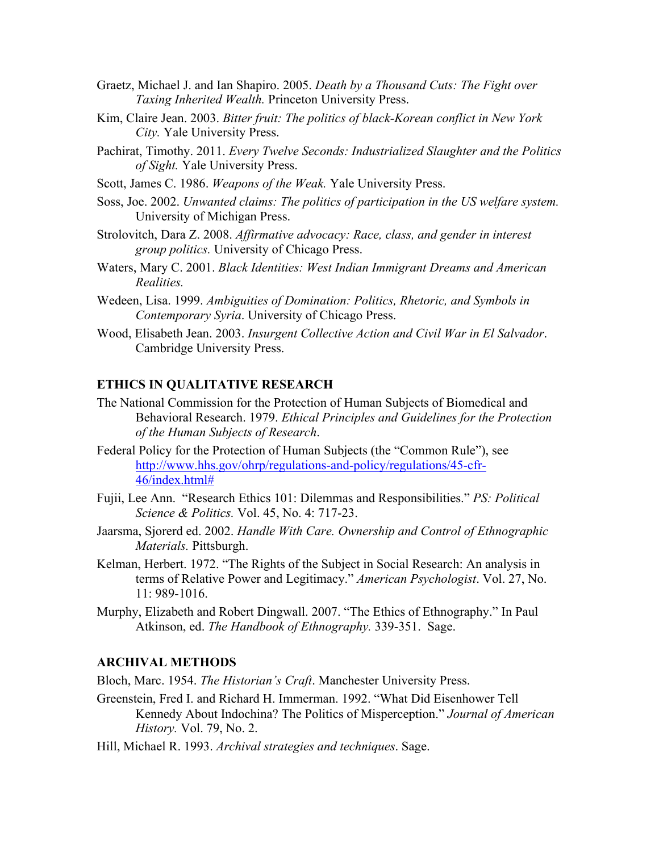- Graetz, Michael J. and Ian Shapiro. 2005. *Death by a Thousand Cuts: The Fight over Taxing Inherited Wealth.* Princeton University Press.
- Kim, Claire Jean. 2003. *Bitter fruit: The politics of black-Korean conflict in New York City.* Yale University Press.
- Pachirat, Timothy. 2011. *Every Twelve Seconds: Industrialized Slaughter and the Politics of Sight.* Yale University Press.
- Scott, James C. 1986. *Weapons of the Weak.* Yale University Press.
- Soss, Joe. 2002. *Unwanted claims: The politics of participation in the US welfare system.*  University of Michigan Press.
- Strolovitch, Dara Z. 2008. *Affirmative advocacy: Race, class, and gender in interest group politics.* University of Chicago Press.
- Waters, Mary C. 2001. *Black Identities: West Indian Immigrant Dreams and American Realities.*
- Wedeen, Lisa. 1999. *Ambiguities of Domination: Politics, Rhetoric, and Symbols in Contemporary Syria*. University of Chicago Press.
- Wood, Elisabeth Jean. 2003. *Insurgent Collective Action and Civil War in El Salvador*. Cambridge University Press.

# **ETHICS IN QUALITATIVE RESEARCH**

- The National Commission for the Protection of Human Subjects of Biomedical and Behavioral Research. 1979. *Ethical Principles and Guidelines for the Protection of the Human Subjects of Research*.
- Federal Policy for the Protection of Human Subjects (the "Common Rule"), see http://www.hhs.gov/ohrp/regulations-and-policy/regulations/45-cfr-46/index.html#
- *Science & Politics.* Vol. 45, No. 4: 717-23. Fujii, Lee Ann. "Research Ethics 101: Dilemmas and Responsibilities." *PS: Political*
- *Materials.* Pittsburgh. Jaarsma, Sjorerd ed. 2002. *Handle With Care. Ownership and Control of Ethnographic*
- 11: 989-1016. Kelman, Herbert. 1972. "The Rights of the Subject in Social Research: An analysis in terms of Relative Power and Legitimacy." *American Psychologist*. Vol. 27, No.
- Atkinson, ed. *The Handbook of Ethnography.* 339-351. Sage. Murphy, Elizabeth and Robert Dingwall. 2007. "The Ethics of Ethnography." In Paul

# **ARCHIVAL METHODS**

Bloch, Marc. 1954. *The Historian's Craft*. Manchester University Press.

- Greenstein, Fred I. and Richard H. Immerman. 1992. "What Did Eisenhower Tell Kennedy About Indochina? The Politics of Misperception." *Journal of American History.* Vol. 79, No. 2.
- Hill, Michael R. 1993. *Archival strategies and techniques*. Sage.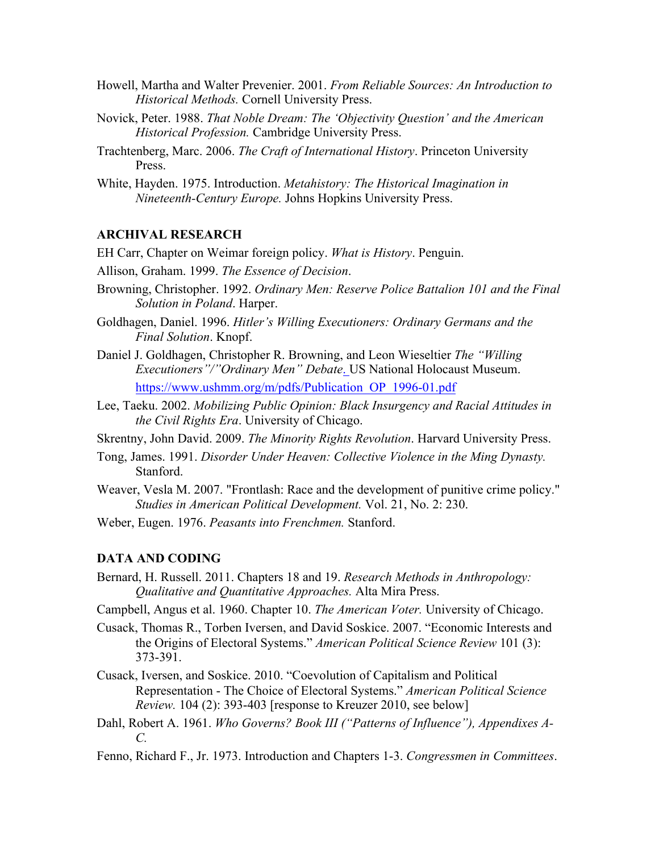- Howell, Martha and Walter Prevenier. 2001. *From Reliable Sources: An Introduction to Historical Methods.* Cornell University Press.
- Novick, Peter. 1988. *That Noble Dream: The 'Objectivity Question' and the American Historical Profession.* Cambridge University Press.
- Trachtenberg, Marc. 2006. *The Craft of International History*. Princeton University Press.
- White, Hayden. 1975. Introduction. *Metahistory: The Historical Imagination in Nineteenth-Century Europe.* Johns Hopkins University Press.

# **ARCHIVAL RESEARCH**

EH Carr, Chapter on Weimar foreign policy. *What is History*. Penguin.

Allison, Graham. 1999. *The Essence of Decision*.

- *Solution in Poland*. Harper. Browning, Christopher. 1992. *Ordinary Men: Reserve Police Battalion 101 and the Final*
- Goldhagen, Daniel. 1996. *Hitler's Willing Executioners: Ordinary Germans and the Final Solution*. Knopf.
- Daniel J. Goldhagen, Christopher R. Browning, and Leon Wieseltier *The "Willing Executioners"/"Ordinary Men" Debate*. US National Holocaust Museum. https://www.ushmm.org/m/pdfs/Publication\_OP\_1996-01.pdf
- Lee, Taeku. 2002. *Mobilizing Public Opinion: Black Insurgency and Racial Attitudes in the Civil Rights Era*. University of Chicago.

Skrentny, John David. 2009. *The Minority Rights Revolution*. Harvard University Press.

- Tong, James. 1991. *Disorder Under Heaven: Collective Violence in the Ming Dynasty.*  Stanford.
- *Studies in American Political Development.* Vol. 21, No. 2: 230. Weaver, Vesla M. 2007. "Frontlash: Race and the development of punitive crime policy."
- Weber, Eugen. 1976. *Peasants into Frenchmen.* Stanford.

#### **DATA AND CODING**

- *Qualitative and Quantitative Approaches.* Alta Mira Press. Bernard, H. Russell. 2011. Chapters 18 and 19. *Research Methods in Anthropology:*
- Campbell, Angus et al. 1960. Chapter 10. *The American Voter.* University of Chicago.
- the Origins of Electoral Systems." *American Political Science Review* 101 (3): Cusack, Thomas R., Torben Iversen, and David Soskice. 2007. "Economic Interests and 373-391.
- Cusack, Iversen, and Soskice. 2010. "Coevolution of Capitalism and Political Representation - The Choice of Electoral Systems." *American Political Science Review.* 104 (2): 393-403 [response to Kreuzer 2010, see below]
- Dahl, Robert A. 1961. *Who Governs? Book III ("Patterns of Influence"), Appendixes A-C.*
- Fenno, Richard F., Jr. 1973. Introduction and Chapters 1-3. *Congressmen in Committees*.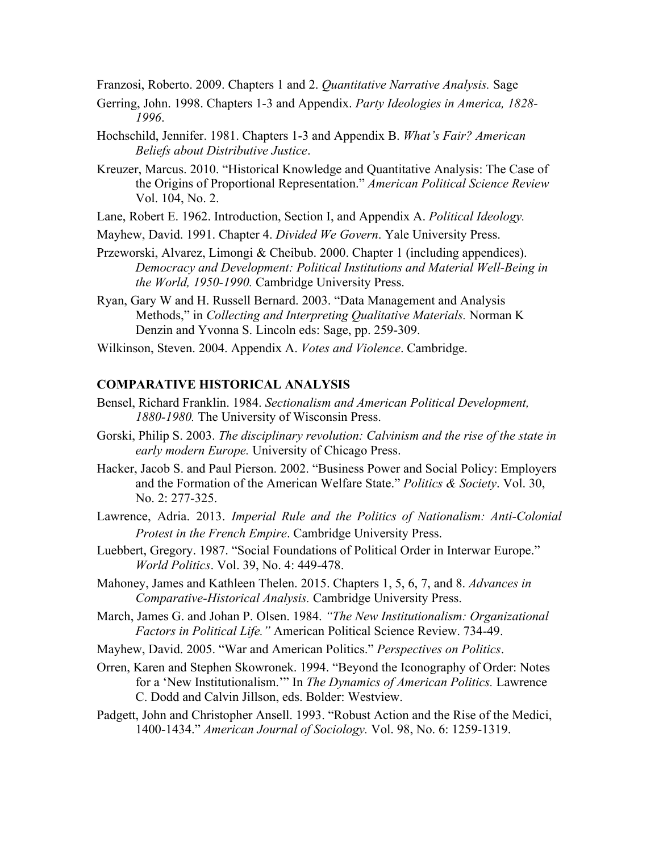Franzosi, Roberto. 2009. Chapters 1 and 2. *Quantitative Narrative Analysis.* Sage

- Gerring, John. 1998. Chapters 1-3 and Appendix. *Party Ideologies in America, 1828- 1996*.
- Hochschild, Jennifer. 1981. Chapters 1-3 and Appendix B. *What's Fair? American Beliefs about Distributive Justice*.
- Kreuzer, Marcus. 2010. "Historical Knowledge and Quantitative Analysis: The Case of the Origins of Proportional Representation." *American Political Science Review*  Vol. 104, No. 2.
- Lane, Robert E. 1962. Introduction, Section I, and Appendix A. *Political Ideology.*
- Mayhew, David. 1991. Chapter 4. *Divided We Govern*. Yale University Press.
- Przeworski, Alvarez, Limongi & Cheibub. 2000. Chapter 1 (including appendices). *Democracy and Development: Political Institutions and Material Well-Being in the World, 1950-1990.* Cambridge University Press.
- Methods," in *Collecting and Interpreting Qualitative Materials.* Norman K Ryan, Gary W and H. Russell Bernard. 2003. "Data Management and Analysis Denzin and Yvonna S. Lincoln eds: Sage, pp. 259-309.
- Wilkinson, Steven. 2004. Appendix A. *Votes and Violence*. Cambridge.

# **COMPARATIVE HISTORICAL ANALYSIS**

- Bensel, Richard Franklin. 1984. *Sectionalism and American Political Development, 1880-1980.* The University of Wisconsin Press.
- Gorski, Philip S. 2003. *The disciplinary revolution: Calvinism and the rise of the state in early modern Europe.* University of Chicago Press.
- No. 2: 277-325. Hacker, Jacob S. and Paul Pierson. 2002. "Business Power and Social Policy: Employers and the Formation of the American Welfare State." *Politics & Society*. Vol. 30,
- Lawrence, Adria. 2013. *Imperial Rule and the Politics of Nationalism: Anti-Colonial Protest in the French Empire*. Cambridge University Press.
- *World Politics*. Vol. 39, No. 4: 449-478. Luebbert, Gregory. 1987. "Social Foundations of Political Order in Interwar Europe."
- Mahoney, James and Kathleen Thelen. 2015. Chapters 1, 5, 6, 7, and 8. *Advances in Comparative-Historical Analysis.* Cambridge University Press.
- *Factors in Political Life."* American Political Science Review. 734-49. March, James G. and Johan P. Olsen. 1984. *"The New Institutionalism: Organizational*
- Mayhew, David. 2005. "War and American Politics." *Perspectives on Politics*.
- for a 'New Institutionalism.'" In *The Dynamics of American Politics.* Lawrence Orren, Karen and Stephen Skowronek. 1994. "Beyond the Iconography of Order: Notes C. Dodd and Calvin Jillson, eds. Bolder: Westview.
- 1400-1434." *American Journal of Sociology.* Vol. 98, No. 6: 1259-1319. Padgett, John and Christopher Ansell. 1993. "Robust Action and the Rise of the Medici,